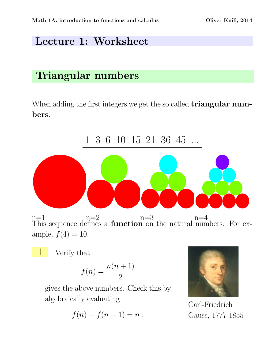## Lecture 1: Worksheet

## Triangular numbers

When adding the first integers we get the so called **triangular num**bers.



$$
f(n) = \frac{n(n+1)}{2}
$$

gives the above numbers. Check this by algebraically evaluating

$$
f(n)-f(n-1)=n.
$$



Carl-Friedrich Gauss, 1777-1855